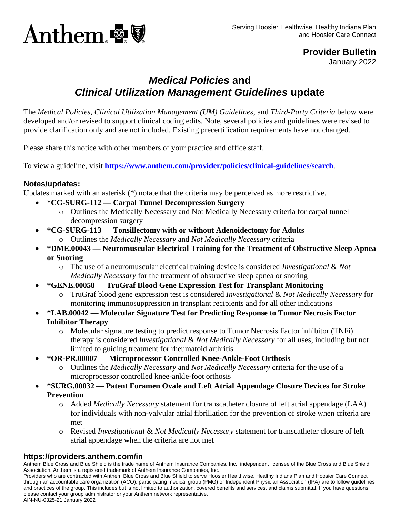

**Provider Bulletin**

January 2022

# *Medical Policies* **and**  *Clinical Utilization Management Guidelines* **update**

The *Medical Policies*, *Clinical Utilization Management (UM) Guidelines,* and *Third-Party Criteria* below were developed and/or revised to support clinical coding edits. Note, several policies and guidelines were revised to provide clarification only and are not included. Existing precertification requirements have not changed.

Please share this notice with other members of your practice and office staff.

To view a guideline, visit **<https://www.anthem.com/provider/policies/clinical-guidelines/search>**.

#### **Notes/updates:**

Updates marked with an asterisk (\*) notate that the criteria may be perceived as more restrictive.

- **\*CG-SURG-112 — Carpal Tunnel Decompression Surgery**
	- o Outlines the Medically Necessary and Not Medically Necessary criteria for carpal tunnel decompression surgery
- **\*CG-SURG-113 — Tonsillectomy with or without Adenoidectomy for Adults**
	- o Outlines the *Medically Necessary* and *Not Medically Necessary* criteria
- **\*DME.00043 — Neuromuscular Electrical Training for the Treatment of Obstructive Sleep Apnea or Snoring**
	- o The use of a neuromuscular electrical training device is considered *Investigational* & *Not Medically Necessary* for the treatment of obstructive sleep apnea or snoring
- **\*GENE.00058 — TruGraf Blood Gene Expression Test for Transplant Monitoring**
	- o TruGraf blood gene expression test is considered *Investigational* & *Not Medically Necessary* for monitoring immunosuppression in transplant recipients and for all other indications
- **\*LAB.00042 — Molecular Signature Test for Predicting Response to Tumor Necrosis Factor Inhibitor Therapy**
	- o Molecular signature testing to predict response to Tumor Necrosis Factor inhibitor (TNFi) therapy is considered *Investigational* & *Not Medically Necessary* for all uses, including but not limited to guiding treatment for rheumatoid arthritis
- **\*OR-PR.00007 — Microprocessor Controlled Knee-Ankle-Foot Orthosis**
	- o Outlines the *Medically Necessary* and *Not Medically Necessary* criteria for the use of a microprocessor controlled knee-ankle-foot orthosis
- **\*SURG.00032 — Patent Foramen Ovale and Left Atrial Appendage Closure Devices for Stroke Prevention**
	- o Added *Medically Necessary* statement for transcatheter closure of left atrial appendage (LAA) for individuals with non-valvular atrial fibrillation for the prevention of stroke when criteria are met
	- o Revised *Investigational* & *Not Medically Necessary* statement for transcatheter closure of left atrial appendage when the criteria are not met

### **https://providers.anthem.com/in**

Anthem Blue Cross and Blue Shield is the trade name of Anthem Insurance Companies, Inc., independent licensee of the Blue Cross and Blue Shield Association. Anthem is a registered trademark of Anthem Insurance Companies, Inc.

Providers who are contracted with Anthem Blue Cross and Blue Shield to serve Hoosier Healthwise, Healthy Indiana Plan and Hoosier Care Connect through an accountable care organization (ACO), participating medical group (PMG) or Independent Physician Association (IPA) are to follow guidelines and practices of the group. This includes but is not limited to authorization, covered benefits and services, and claims submittal. If you have questions, please contact your group administrator or your Anthem network representative. AIN-NU-0325-21 January 2022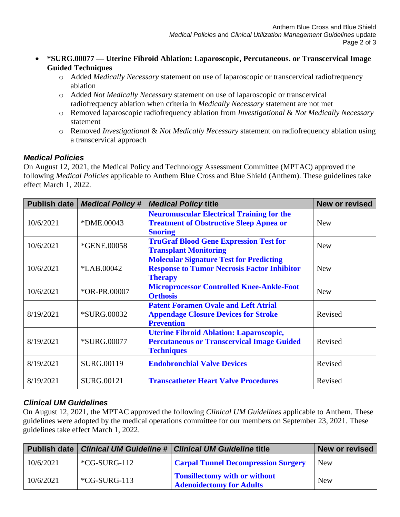- **\*SURG.00077 — Uterine Fibroid Ablation: Laparoscopic, Percutaneous. or Transcervical Image Guided Techniques**
	- o Added *Medically Necessary* statement on use of laparoscopic or transcervical radiofrequency ablation
	- o Added *Not Medically Necessary* statement on use of laparoscopic or transcervical radiofrequency ablation when criteria in *Medically Necessary* statement are not met
	- o Removed laparoscopic radiofrequency ablation from *Investigational* & *Not Medically Necessary* statement
	- o Removed *Investigational* & *Not Medically Necessary* statement on radiofrequency ablation using a transcervical approach

# *Medical Policies*

On August 12, 2021, the Medical Policy and Technology Assessment Committee (MPTAC) approved the following *Medical Policies* applicable to Anthem Blue Cross and Blue Shield (Anthem). These guidelines take effect March 1, 2022.

| Publish date | <b>Medical Policy#</b> | <b>Medical Policy title</b>                                                                                              | <b>New or revised</b> |
|--------------|------------------------|--------------------------------------------------------------------------------------------------------------------------|-----------------------|
| 10/6/2021    | *DME.00043             | <b>Neuromuscular Electrical Training for the</b><br><b>Treatment of Obstructive Sleep Apnea or</b><br><b>Snoring</b>     | <b>New</b>            |
| 10/6/2021    | *GENE.00058            | <b>TruGraf Blood Gene Expression Test for</b><br><b>Transplant Monitoring</b>                                            | <b>New</b>            |
| 10/6/2021    | *LAB.00042             | <b>Molecular Signature Test for Predicting</b><br><b>Response to Tumor Necrosis Factor Inhibitor</b><br><b>Therapy</b>   | <b>New</b>            |
| 10/6/2021    | *OR-PR.00007           | <b>Microprocessor Controlled Knee-Ankle-Foot</b><br><b>Orthosis</b>                                                      | <b>New</b>            |
| 8/19/2021    | <i>*SURG.00032</i>     | <b>Patent Foramen Ovale and Left Atrial</b><br><b>Appendage Closure Devices for Stroke</b><br><b>Prevention</b>          | Revised               |
| 8/19/2021    | <i>*SURG.00077</i>     | <b>Uterine Fibroid Ablation: Laparoscopic,</b><br><b>Percutaneous or Transcervical Image Guided</b><br><b>Techniques</b> | Revised               |
| 8/19/2021    | SURG.00119             | <b>Endobronchial Valve Devices</b>                                                                                       | Revised               |
| 8/19/2021    | <b>SURG.00121</b>      | <b>Transcatheter Heart Valve Procedures</b>                                                                              | Revised               |

# *Clinical UM Guidelines*

On August 12, 2021, the MPTAC approved the following *Clinical UM Guidelines* applicable to Anthem. These guidelines were adopted by the medical operations committee for our members on September 23, 2021. These guidelines take effect March 1, 2022.

|           |                | Publish date   Clinical UM Guideline #   Clinical UM Guideline title | <b>New or revised</b> |
|-----------|----------------|----------------------------------------------------------------------|-----------------------|
| 10/6/2021 | $*CG-SURG-112$ | <b>Carpal Tunnel Decompression Surgery</b>                           | New                   |
| 10/6/2021 | $*CG-SURG-113$ | Tonsillectomy with or without<br><b>Adenoidectomy for Adults</b>     | <b>New</b>            |